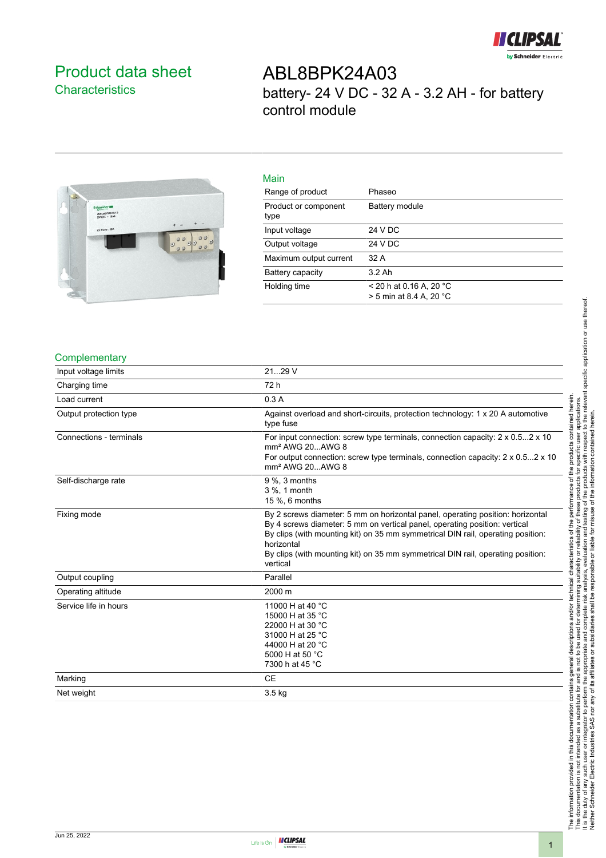

### <span id="page-0-0"></span>Product data sheet **Characteristics**

## ABL8BPK24A03 battery- 24 V DC - 32 A - 3.2 AH - for battery control module



### Main

| iviali i                     |                                                      |
|------------------------------|------------------------------------------------------|
| Range of product             | Phaseo                                               |
| Product or component<br>type | Battery module                                       |
| Input voltage                | 24 V DC                                              |
| Output voltage               | 24 V DC                                              |
| Maximum output current       | 32 A                                                 |
| Battery capacity             | $3.2$ Ah                                             |
| Holding time                 | $<$ 20 h at 0.16 A, 20 °C<br>> 5 min at 8.4 A, 20 °C |
|                              |                                                      |

#### **Complementary**

| Input voltage limits    | 2129 V                                                                                                                                                                                                                                                                                                                                                       |
|-------------------------|--------------------------------------------------------------------------------------------------------------------------------------------------------------------------------------------------------------------------------------------------------------------------------------------------------------------------------------------------------------|
| Charging time           | 72 h                                                                                                                                                                                                                                                                                                                                                         |
| Load current            | 0.3A                                                                                                                                                                                                                                                                                                                                                         |
| Output protection type  | Against overload and short-circuits, protection technology: 1 x 20 A automotive<br>type fuse                                                                                                                                                                                                                                                                 |
| Connections - terminals | For input connection: screw type terminals, connection capacity: 2 x 0.52 x 10<br>mm <sup>2</sup> AWG 20AWG 8<br>For output connection: screw type terminals, connection capacity: 2 x 0.52 x 10<br>mm <sup>2</sup> AWG 20 AWG 8                                                                                                                             |
| Self-discharge rate     | $9\%$ , 3 months<br>3 %, 1 month<br>15 %, 6 months                                                                                                                                                                                                                                                                                                           |
| Fixing mode             | By 2 screws diameter: 5 mm on horizontal panel, operating position: horizontal<br>By 4 screws diameter: 5 mm on vertical panel, operating position: vertical<br>By clips (with mounting kit) on 35 mm symmetrical DIN rail, operating position:<br>horizontal<br>By clips (with mounting kit) on 35 mm symmetrical DIN rail, operating position:<br>vertical |
| Output coupling         | Parallel                                                                                                                                                                                                                                                                                                                                                     |
| Operating altitude      | 2000 m                                                                                                                                                                                                                                                                                                                                                       |
| Service life in hours   | 11000 H at 40 °C<br>15000 H at 35 °C<br>22000 H at 30 °C<br>31000 H at 25 °C<br>44000 H at 20 °C<br>5000 H at 50 °C<br>7300 h at 45 °C                                                                                                                                                                                                                       |
| Marking                 | <b>CE</b>                                                                                                                                                                                                                                                                                                                                                    |
| Net weight              | 3.5 kg                                                                                                                                                                                                                                                                                                                                                       |

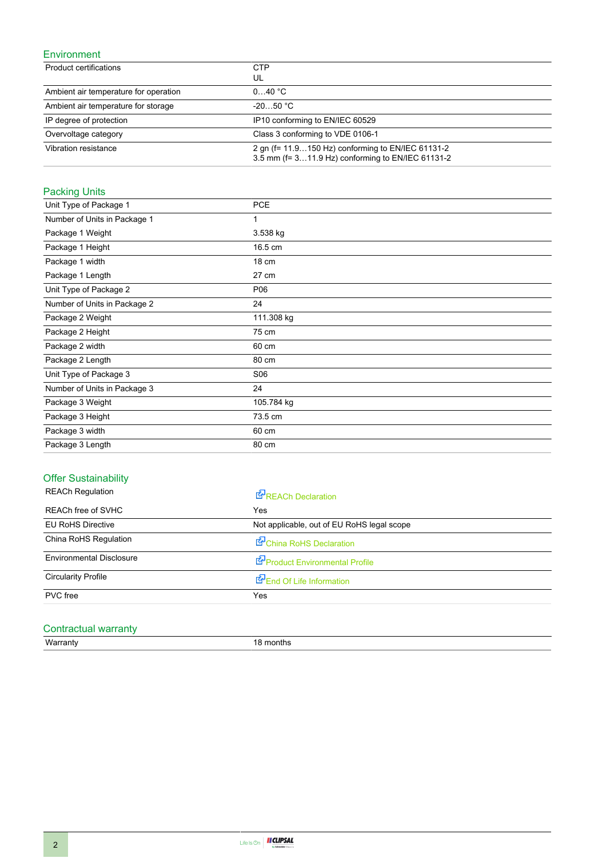#### Environment

| Product certifications                | <b>CTP</b><br>UL                                                                                        |
|---------------------------------------|---------------------------------------------------------------------------------------------------------|
| Ambient air temperature for operation | 040 °C                                                                                                  |
| Ambient air temperature for storage   | $-2050 °C$                                                                                              |
| IP degree of protection               | IP10 conforming to EN/IEC 60529                                                                         |
| Overvoltage category                  | Class 3 conforming to VDE 0106-1                                                                        |
| Vibration resistance                  | 2 gn (f = 11.9150 Hz) conforming to EN/IEC 61131-2<br>3.5 mm (f= 311.9 Hz) conforming to EN/IEC 61131-2 |

### Packing Units

| Unit Type of Package 1       | <b>PCE</b> |
|------------------------------|------------|
| Number of Units in Package 1 | 1          |
| Package 1 Weight             | 3.538 kg   |
| Package 1 Height             | 16.5 cm    |
| Package 1 width              | 18 cm      |
| Package 1 Length             | 27 cm      |
| Unit Type of Package 2       | P06        |
| Number of Units in Package 2 | 24         |
| Package 2 Weight             | 111.308 kg |
| Package 2 Height             | 75 cm      |
| Package 2 width              | 60 cm      |
| Package 2 Length             | 80 cm      |
| Unit Type of Package 3       | S06        |
| Number of Units in Package 3 | 24         |
| Package 3 Weight             | 105.784 kg |
| Package 3 Height             | 73.5 cm    |
| Package 3 width              | 60 cm      |
| Package 3 Length             | 80 cm      |

### Offer Sustainability

| <b>REACh Regulation</b>         | <b>REACh Declaration</b>                   |
|---------------------------------|--------------------------------------------|
| <b>REACh free of SVHC</b>       | Yes                                        |
| <b>EU RoHS Directive</b>        | Not applicable, out of EU RoHS legal scope |
| China RoHS Regulation           | China RoHS Declaration                     |
| <b>Environmental Disclosure</b> | Product Environmental Profile              |
| <b>Circularity Profile</b>      | End Of Life Information                    |
| PVC free                        | Yes                                        |

# Contractual warranty<br>Warranty

18 months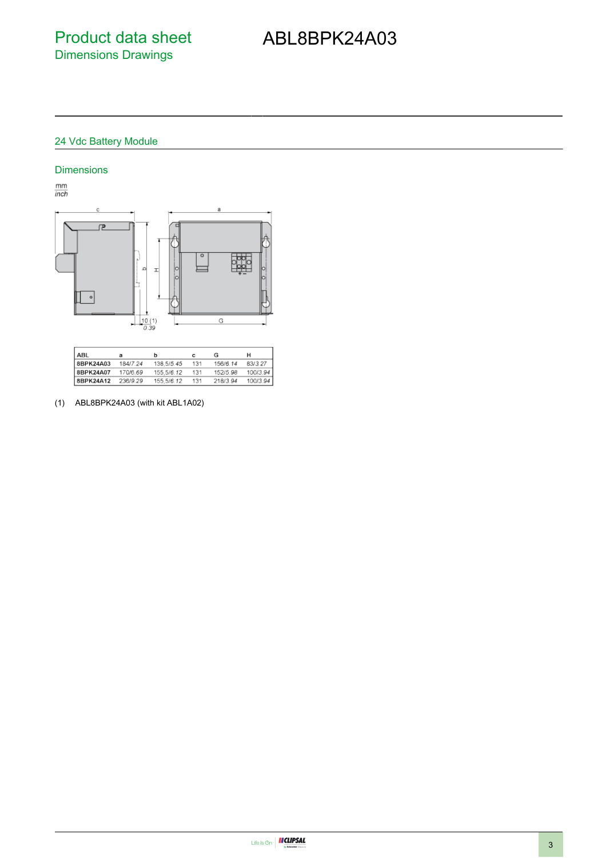## ABL8BPK24A03

#### 24 Vdc Battery Module

#### Dimensions

 $\frac{mm}{inch}$ 



| ABL       |          | b          |     | G        | н        |
|-----------|----------|------------|-----|----------|----------|
| 8BPK24A03 | 184/7.24 | 138,5/5.45 | 131 | 156/6.14 | 83/3.27  |
| 8BPK24A07 | 170/6.69 | 155,5/6,12 | 131 | 152/5.98 | 100/3.94 |
| 8BPK24A12 | 236/9.29 | 155 5/6 12 | 131 | 218/3.94 | 100/3.94 |

(1) ABL8BPK24A03 (with kit ABL1A02)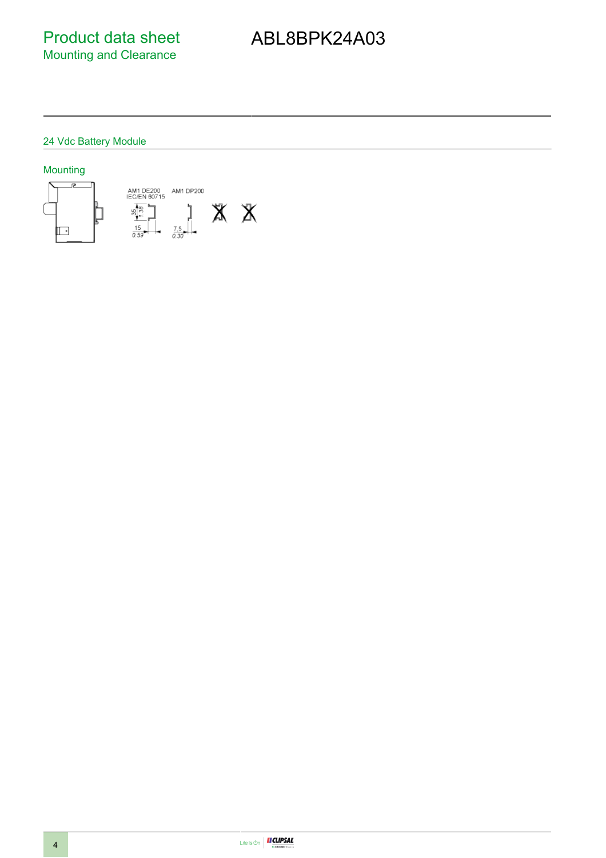Product data sheet Mounting and Clearance

## ABL8BPK24A03

### 24 Vdc Battery Module